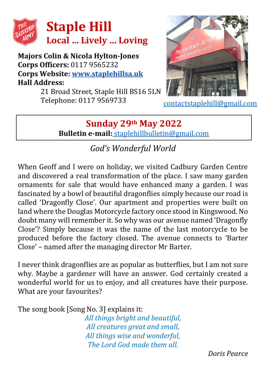

**Majors Colin & Nicola Hylton-Jones Corps Officers:** 0117 9565232 **Corps Website: [www.staplehillsa.uk](http://www.staplehillsa.uk/) Hall Address:**

21 Broad Street, Staple Hill BS16 5LN Telephone: 0117 9569733



[contactstaplehill@gmail.com](mailto:contactstaplehill@gmail.com)

## **Sunday 29th May 2022 Bulletin e-mail:** [staplehillbulletin@gmail.com](mailto:staplehillbulletin@gmail.com)

## *God's Wonderful World*

When Geoff and I were on holiday, we visited Cadbury Garden Centre and discovered a real transformation of the place. I saw many garden ornaments for sale that would have enhanced many a garden. I was fascinated by a bowl of beautiful dragonflies simply because our road is called 'Dragonfly Close'. Our apartment and properties were built on land where the Douglas Motorcycle factory once stood in Kingswood. No doubt many will remember it. So why was our avenue named 'Dragonfly Close'? Simply because it was the name of the last motorcycle to be produced before the factory closed. The avenue connects to 'Barter Close' – named after the managing director Mr Barter.

I never think dragonflies are as popular as butterflies, but I am not sure why. Maybe a gardener will have an answer. God certainly created a wonderful world for us to enjoy, and all creatures have their purpose. What are your favourites?

The song book [Song No. 3] explains it:

*All things bright and beautiful, All creatures great and small, All things wise and wonderful, The Lord God made them all.*

*Doris Pearce*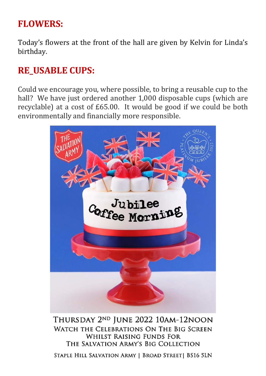## **FLOWERS:**

Today's flowers at the front of the hall are given by Kelvin for Linda's birthday.

### **RE\_USABLE CUPS:**

Could we encourage you, where possible, to bring a reusable cup to the hall? We have just ordered another 1,000 disposable cups (which are recyclable) at a cost of £65.00. It would be good if we could be both environmentally and financially more responsible.



THURSDAY 2ND JUNE 2022 10AM-12NOON WATCH THE CELEBRATIONS ON THE BIG SCREEN **WHILST RAISING FUNDS FOR** THE SALVATION ARMY'S BIG COLLECTION

STAPLE HILL SALVATION ARMY | BROAD STREET | BS16 5LN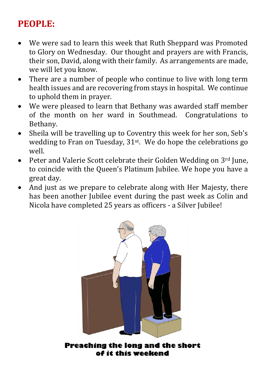# **PEOPLE:**

- We were sad to learn this week that Ruth Sheppard was Promoted to Glory on Wednesday. Our thought and prayers are with Francis, their son, David, along with their family. As arrangements are made, we will let you know.
- There are a number of people who continue to live with long term health issues and are recovering from stays in hospital. We continue to uphold them in prayer.
- We were pleased to learn that Bethany was awarded staff member of the month on her ward in Southmead. Congratulations to Bethany.
- Sheila will be travelling up to Coventry this week for her son, Seb's wedding to Fran on Tuesday, 31st. We do hope the celebrations go well.
- Peter and Valerie Scott celebrate their Golden Wedding on 3rd June, to coincide with the Queen's Platinum Jubilee. We hope you have a great day.
- And just as we prepare to celebrate along with Her Majesty, there has been another Jubilee event during the past week as Colin and Nicola have completed 25 years as officers - a Silver Jubilee!



Preaching the long and the short of it this weekend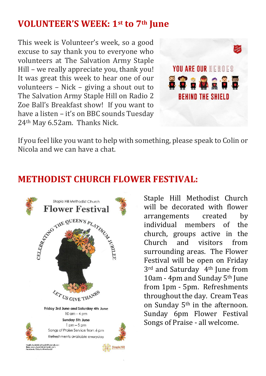### **VOLUNTEER'S WEEK: 1st to 7th June**

This week is Volunteer's week, so a good excuse to say thank you to everyone who volunteers at The Salvation Army Staple Hill – we really appreciate you, thank you! It was great this week to hear one of our volunteers – Nick – giving a shout out to The Salvation Army Staple Hill on Radio 2 Zoe Ball's Breakfast show! If you want to have a listen – it's on BBC sounds Tuesday 24th May 6.52am. Thanks Nick.



If you feel like you want to help with something, please speak to Colin or Nicola and we can have a chat.

### **METHODIST CHURCH FLOWER FESTIVAL:**



Staple Hill Methodist Church will be decorated with flower arrangements created by individual members of the church, groups active in the Church and visitors from surrounding areas. The Flower Festival will be open on Friday 3rd and Saturday 4th June from 10am - 4pm and Sunday 5th June from 1pm - 5pm. Refreshments throughout the day. Cream Teas on Sunday 5th in the afternoon. Sunday 6pm Flower Festival Songs of Praise - all welcome.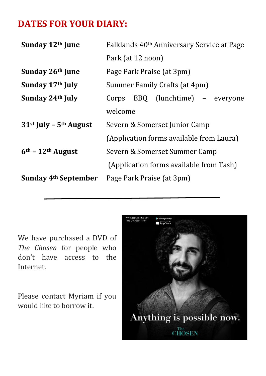### **DATES FOR YOUR DIARY:**

| Sunday 12th June                 | Falklands 40 <sup>th</sup> Anniversary Service at Page |  |
|----------------------------------|--------------------------------------------------------|--|
|                                  | Park (at 12 noon)                                      |  |
| Sunday 26th June                 | Page Park Praise (at 3pm)                              |  |
| Sunday 17th July                 | Summer Family Crafts (at 4pm)                          |  |
| Sunday 24th July                 | Corps BBQ (lunchtime) - everyone                       |  |
|                                  | welcome                                                |  |
| $31st$ July - $5th$ August       | Severn & Somerset Junior Camp                          |  |
|                                  | (Application forms available from Laura)               |  |
| $6th - 12th$ August              | Severn & Somerset Summer Camp                          |  |
|                                  | (Application forms available from Tash)                |  |
| Sunday 4 <sup>th</sup> September | Page Park Praise (at 3pm)                              |  |

We have purchased a DVD of *The Chosen* for people who don't have access to the Internet.

Please contact Myriam if you would like to borrow it.